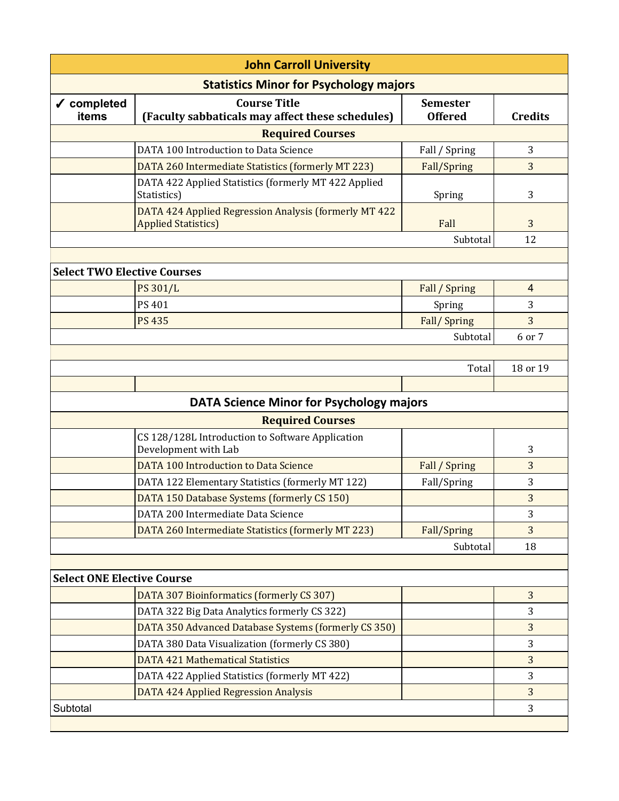| <b>John Carroll University</b>                  |                                                                                     |                 |                |
|-------------------------------------------------|-------------------------------------------------------------------------------------|-----------------|----------------|
| <b>Statistics Minor for Psychology majors</b>   |                                                                                     |                 |                |
| √ completed                                     | <b>Course Title</b>                                                                 | <b>Semester</b> |                |
| items                                           | (Faculty sabbaticals may affect these schedules)                                    | <b>Offered</b>  | <b>Credits</b> |
| <b>Required Courses</b>                         |                                                                                     |                 |                |
|                                                 | DATA 100 Introduction to Data Science                                               | Fall / Spring   | 3              |
|                                                 | DATA 260 Intermediate Statistics (formerly MT 223)                                  | Fall/Spring     | 3              |
|                                                 | DATA 422 Applied Statistics (formerly MT 422 Applied<br>Statistics)                 | Spring          | 3              |
|                                                 | DATA 424 Applied Regression Analysis (formerly MT 422<br><b>Applied Statistics)</b> | Fall            | 3              |
|                                                 |                                                                                     | Subtotal        | 12             |
|                                                 |                                                                                     |                 |                |
| <b>Select TWO Elective Courses</b>              |                                                                                     |                 |                |
|                                                 | PS 301/L                                                                            | Fall / Spring   | $\overline{4}$ |
|                                                 | PS 401                                                                              | Spring          | 3              |
|                                                 | <b>PS 435</b>                                                                       | Fall/Spring     | 3              |
|                                                 |                                                                                     | Subtotal        | 6 or 7         |
|                                                 |                                                                                     |                 |                |
|                                                 |                                                                                     | Total           | 18 or 19       |
|                                                 |                                                                                     |                 |                |
| <b>DATA Science Minor for Psychology majors</b> |                                                                                     |                 |                |
| <b>Required Courses</b>                         |                                                                                     |                 |                |
|                                                 | CS 128/128L Introduction to Software Application<br>Development with Lab            |                 | 3              |
|                                                 | DATA 100 Introduction to Data Science                                               | Fall / Spring   | 3              |
|                                                 | DATA 122 Elementary Statistics (formerly MT 122)                                    | Fall/Spring     | 3              |
|                                                 | DATA 150 Database Systems (formerly CS 150)                                         |                 | 3              |
|                                                 | DATA 200 Intermediate Data Science                                                  |                 | 3              |
|                                                 | DATA 260 Intermediate Statistics (formerly MT 223)                                  | Fall/Spring     | 3              |
|                                                 |                                                                                     | Subtotal        | 18             |
|                                                 |                                                                                     |                 |                |
| <b>Select ONE Elective Course</b>               |                                                                                     |                 |                |
|                                                 | DATA 307 Bioinformatics (formerly CS 307)                                           |                 | 3              |
|                                                 | DATA 322 Big Data Analytics formerly CS 322)                                        |                 | 3              |
|                                                 | DATA 350 Advanced Database Systems (formerly CS 350)                                |                 | 3              |
|                                                 | DATA 380 Data Visualization (formerly CS 380)                                       |                 | 3              |
|                                                 | <b>DATA 421 Mathematical Statistics</b>                                             |                 | 3              |
|                                                 | DATA 422 Applied Statistics (formerly MT 422)                                       |                 | 3              |
|                                                 | <b>DATA 424 Applied Regression Analysis</b>                                         |                 | 3              |
| Subtotal                                        |                                                                                     |                 | 3              |
|                                                 |                                                                                     |                 |                |